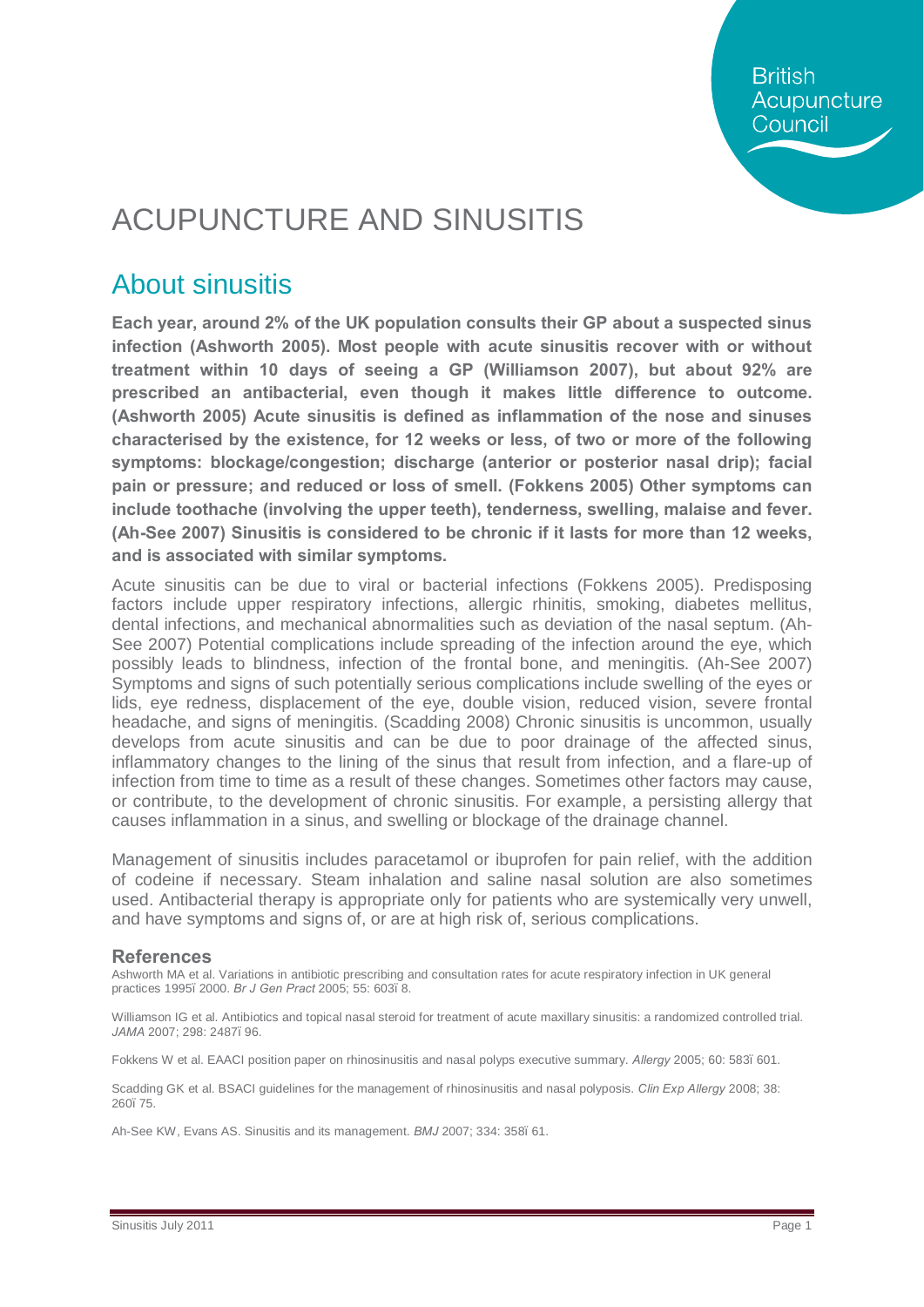**British** Acupuncture Council

## ACUPUNCTURE AND SINUSITIS

### About sinusitis

**Each year, around 2% of the UK population consults their GP about a suspected sinus infection (Ashworth 2005). Most people with acute sinusitis recover with or without treatment within 10 days of seeing a GP (Williamson 2007), but about 92% are prescribed an antibacterial, even though it makes little difference to outcome. (Ashworth 2005) Acute sinusitis is defined as inflammation of the nose and sinuses characterised by the existence, for 12 weeks or less, of two or more of the following symptoms: blockage/congestion; discharge (anterior or posterior nasal drip); facial pain or pressure; and reduced or loss of smell. (Fokkens 2005) Other symptoms can include toothache (involving the upper teeth), tenderness, swelling, malaise and fever. (Ah-See 2007) Sinusitis is considered to be chronic if it lasts for more than 12 weeks, and is associated with similar symptoms.** 

Acute sinusitis can be due to viral or bacterial infections (Fokkens 2005). Predisposing factors include upper respiratory infections, allergic rhinitis, smoking, diabetes mellitus, dental infections, and mechanical abnormalities such as deviation of the nasal septum. (Ah-See 2007) Potential complications include spreading of the infection around the eye, which possibly leads to blindness, infection of the frontal bone, and meningitis. (Ah-See 2007) Symptoms and signs of such potentially serious complications include swelling of the eyes or lids, eye redness, displacement of the eye, double vision, reduced vision, severe frontal headache, and signs of meningitis. (Scadding 2008) Chronic sinusitis is uncommon, usually develops from acute sinusitis and can be due to poor drainage of the affected sinus, inflammatory changes to the lining of the sinus that result from infection, and a flare-up of infection from time to time as a result of these changes. Sometimes other factors may cause, or contribute, to the development of chronic sinusitis. For example, a persisting allergy that causes inflammation in a sinus, and swelling or blockage of the drainage channel.

Management of sinusitis includes paracetamol or ibuprofen for pain relief, with the addition of codeine if necessary. Steam inhalation and saline nasal solution are also sometimes used. Antibacterial therapy is appropriate only for patients who are systemically very unwell, and have symptoms and signs of, or are at high risk of, serious complications.

#### **References**

Ashworth MA et al. Variations in antibiotic prescribing and consultation rates for acute respiratory infection in UK general practices 1995–2000. *Br J Gen Pract* 2005; 55: 603–8.

Williamson IG et al. Antibiotics and topical nasal steroid for treatment of acute maxillary sinusitis: a randomized controlled trial. *JAMA* 2007; 298: 2487–96.

Fokkens W et al. EAACI position paper on rhinosinusitis and nasal polyps executive summary. *Allergy* 2005; 60: 583–601.

Scadding GK et al. BSACI guidelines for the management of rhinosinusitis and nasal polyposis. *Clin Exp Allergy* 2008; 38: 260–75.

Ah-See KW, Evans AS. Sinusitis and its management. *BMJ* 2007; 334: 358–61.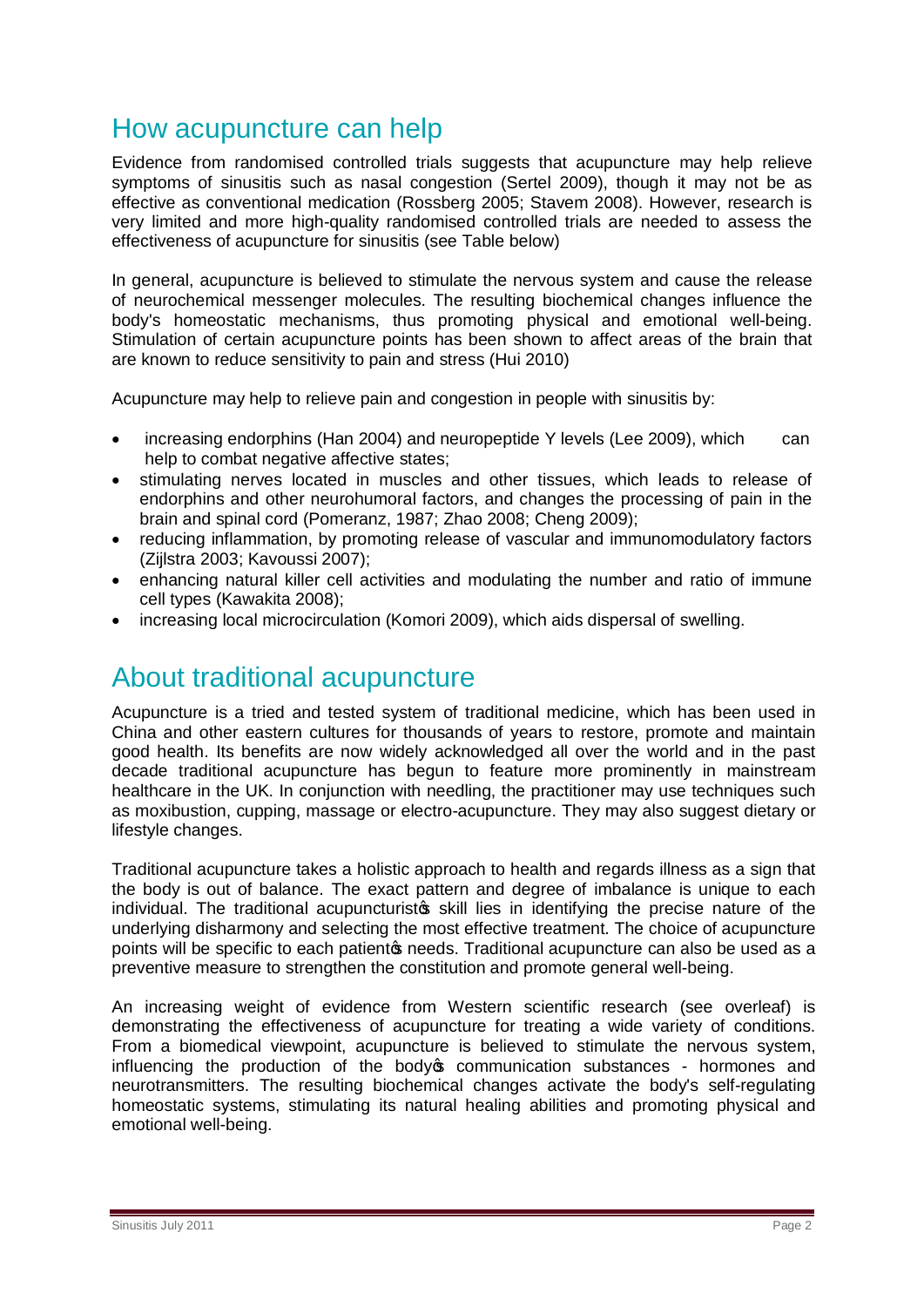### How acupuncture can help

Evidence from randomised controlled trials suggests that acupuncture may help relieve symptoms of sinusitis such as nasal congestion (Sertel 2009), though it may not be as effective as conventional medication (Rossberg 2005; Stavem 2008). However, research is very limited and more high-quality randomised controlled trials are needed to assess the effectiveness of acupuncture for sinusitis (see Table below)

In general, acupuncture is believed to stimulate the nervous system and cause the release of neurochemical messenger molecules. The resulting biochemical changes influence the body's homeostatic mechanisms, thus promoting physical and emotional well-being. Stimulation of certain acupuncture points has been shown to affect areas of the brain that are known to reduce sensitivity to pain and stress (Hui 2010)

Acupuncture may help to relieve pain and congestion in people with sinusitis by:

- · increasing endorphins (Han 2004) and neuropeptide Y levels (Lee 2009), which can help to combat negative affective states;
- · stimulating nerves located in muscles and other tissues, which leads to release of endorphins and other neurohumoral factors, and changes the processing of pain in the brain and spinal cord (Pomeranz, 1987; Zhao 2008; Cheng 2009);
- · reducing inflammation, by promoting release of vascular and immunomodulatory factors (Zijlstra 2003; Kavoussi 2007);
- · enhancing natural killer cell activities and modulating the number and ratio of immune cell types (Kawakita 2008);
- increasing local microcirculation (Komori 2009), which aids dispersal of swelling.

### About traditional acupuncture

Acupuncture is a tried and tested system of traditional medicine, which has been used in China and other eastern cultures for thousands of years to restore, promote and maintain good health. Its benefits are now widely acknowledged all over the world and in the past decade traditional acupuncture has begun to feature more prominently in mainstream healthcare in the UK. In conjunction with needling, the practitioner may use techniques such as moxibustion, cupping, massage or electro-acupuncture. They may also suggest dietary or lifestyle changes.

Traditional acupuncture takes a holistic approach to health and regards illness as a sign that the body is out of balance. The exact pattern and degree of imbalance is unique to each individual. The traditional acupuncturist ts skill lies in identifying the precise nature of the underlying disharmony and selecting the most effective treatment. The choice of acupuncture points will be specific to each patientos needs. Traditional acupuncture can also be used as a preventive measure to strengthen the constitution and promote general well-being.

An increasing weight of evidence from Western scientific research (see overleaf) is demonstrating the effectiveness of acupuncture for treating a wide variety of conditions. From a biomedical viewpoint, acupuncture is believed to stimulate the nervous system, influencing the production of the body open munication substances - hormones and neurotransmitters. The resulting biochemical changes activate the body's self-regulating homeostatic systems, stimulating its natural healing abilities and promoting physical and emotional well-being.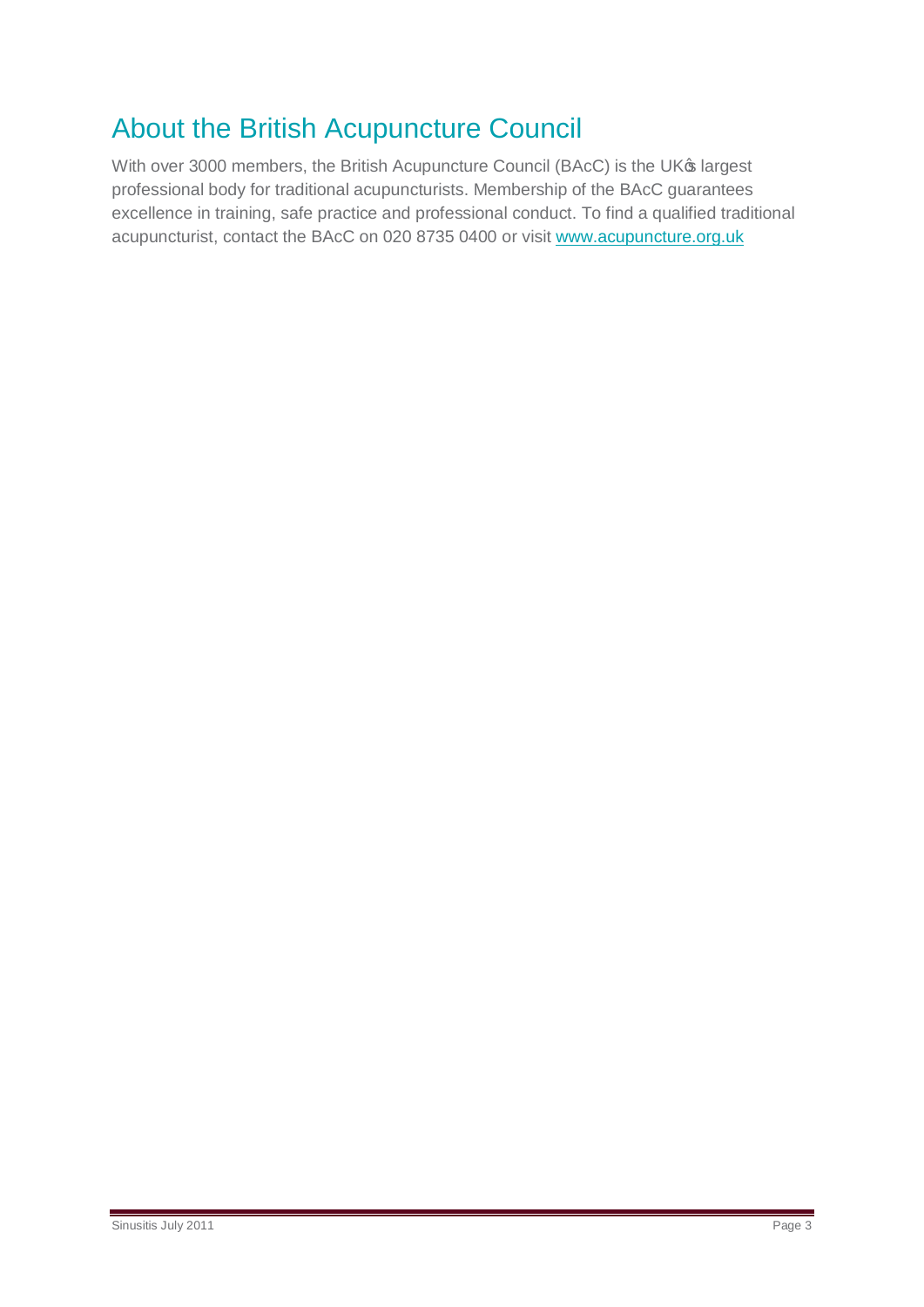## About the British Acupuncture Council

With over 3000 members, the British Acupuncture Council (BAcC) is the UK® largest professional body for traditional acupuncturists. Membership of the BAcC guarantees excellence in training, safe practice and professional conduct. To find a qualified traditional acupuncturist, contact the BAcC on 020 8735 0400 or visit [www.acupuncture.org.uk](http://www.acupuncture.org.uk/)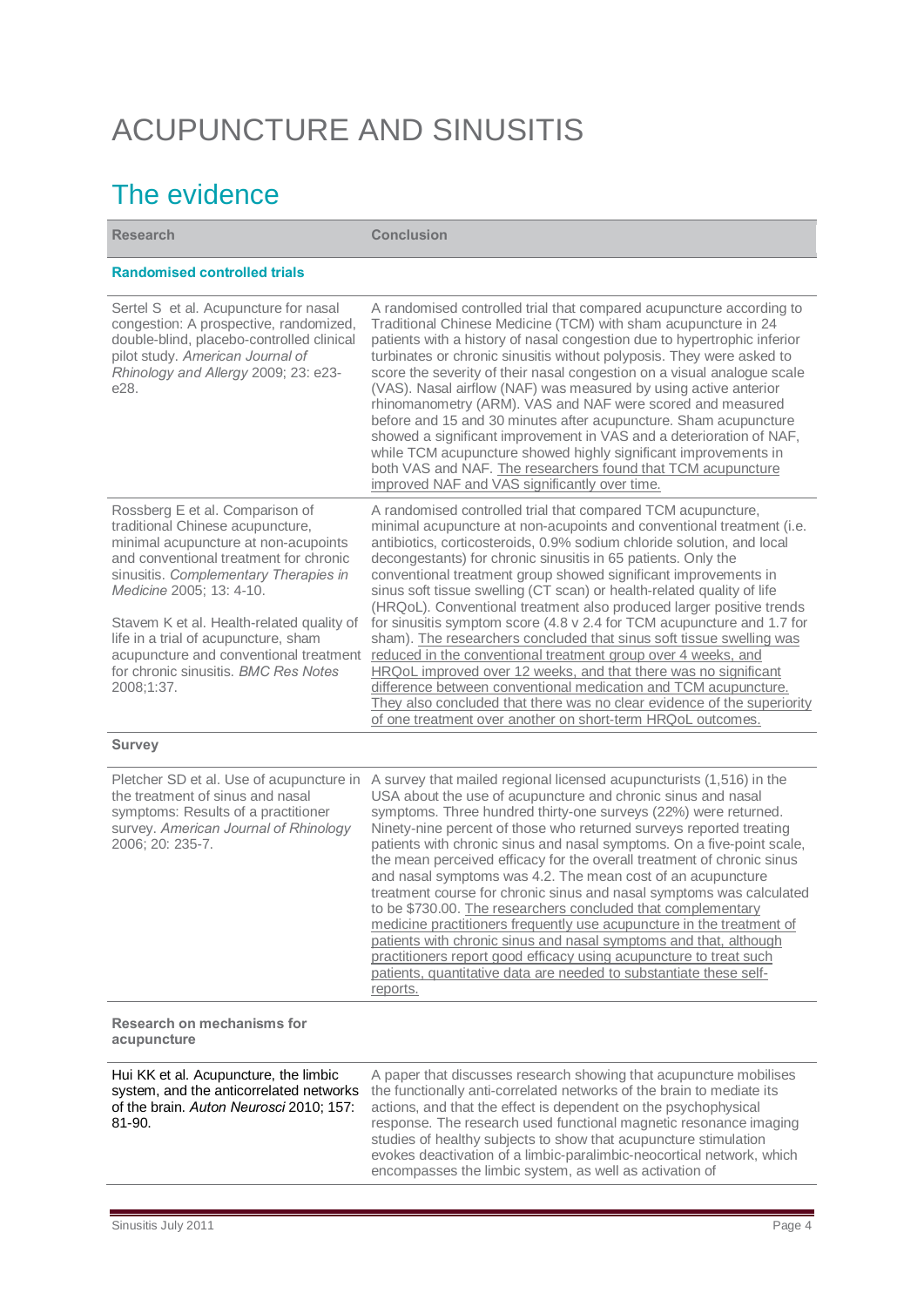# ACUPUNCTURE AND SINUSITIS

## The evidence

**Research Conclusion Randomised controlled trials**  Sertel S et al. Acupuncture for nasal congestion: A prospective, randomized, double-blind, placebo-controlled clinical pilot study. *American Journal of Rhinology and Allergy* 2009; 23: e23-  $P^2$ A randomised controlled trial that compared acupuncture according to Traditional Chinese Medicine (TCM) with sham acupuncture in 24 patients with a history of nasal congestion due to hypertrophic inferior turbinates or chronic sinusitis without polyposis. They were asked to score the severity of their nasal congestion on a visual analogue scale (VAS). Nasal airflow (NAF) was measured by using active anterior rhinomanometry (ARM). VAS and NAF were scored and measured before and 15 and 30 minutes after acupuncture. Sham acupuncture

showed a significant improvement in VAS and a deterioration of NAF, while TCM acupuncture showed highly significant improvements in both VAS and NAF. The researchers found that TCM acupuncture improved NAF and VAS significantly over time. Rossberg E et al. [Comparison of](http://ovidsp.tx.ovid.com/sp-3.2.4b/ovidweb.cgi?&S=MALIFPPODODDOBNHNCDLNAIBDJDJAA00&Complete+Reference=S.sh.49%7c69%7c1)  [traditional Chinese acupuncture,](http://ovidsp.tx.ovid.com/sp-3.2.4b/ovidweb.cgi?&S=MALIFPPODODDOBNHNCDLNAIBDJDJAA00&Complete+Reference=S.sh.49%7c69%7c1)  [minimal acupuncture at non-acupoints](http://ovidsp.tx.ovid.com/sp-3.2.4b/ovidweb.cgi?&S=MALIFPPODODDOBNHNCDLNAIBDJDJAA00&Complete+Reference=S.sh.49%7c69%7c1)  [and conventional treatment for chronic](http://ovidsp.tx.ovid.com/sp-3.2.4b/ovidweb.cgi?&S=MALIFPPODODDOBNHNCDLNAIBDJDJAA00&Complete+Reference=S.sh.49%7c69%7c1)  [sinusitis.](http://ovidsp.tx.ovid.com/sp-3.2.4b/ovidweb.cgi?&S=MALIFPPODODDOBNHNCDLNAIBDJDJAA00&Complete+Reference=S.sh.49%7c69%7c1) *Complementary Therapies in Medicine* 2005; 13: 4-10. Stavem K et al. Health-related quality of life in a trial of acupuncture, sham acupuncture and conventional treatment for chronic sinusitis. *BMC Res Notes* 2008;1:37. A randomised controlled trial that compared TCM acupuncture, minimal acupuncture at non-acupoints and conventional treatment (i.e. antibiotics, corticosteroids, 0.9% sodium chloride solution, and local decongestants) for chronic sinusitis in 65 patients. Only the conventional treatment group showed significant improvements in sinus soft tissue swelling (CT scan) or health-related quality of life (HRQoL). Conventional treatment also produced larger positive trends for sinusitis symptom score (4.8 v 2.4 for TCM acupuncture and 1.7 for sham). The researchers concluded that sinus soft tissue swelling was reduced in the conventional treatment group over 4 weeks, and HRQoL improved over 12 weeks, and that there was no significant difference between conventional medication and TCM acupuncture. They also concluded that there was no clear evidence of the superiority of one treatment over another on short-term HRQoL outcomes.

#### **Survey**

| Pletcher SD et al. Use of acupuncture in<br>the treatment of sinus and nasal<br>symptoms: Results of a practitioner<br>survey. American Journal of Rhinology<br>2006; 20: 235-7. | A survey that mailed regional licensed acupuncturists (1,516) in the<br>USA about the use of acupuncture and chronic sinus and nasal<br>symptoms. Three hundred thirty-one surveys (22%) were returned.<br>Ninety-nine percent of those who returned surveys reported treating<br>patients with chronic sinus and nasal symptoms. On a five-point scale,<br>the mean perceived efficacy for the overall treatment of chronic sinus<br>and nasal symptoms was 4.2. The mean cost of an acupuncture<br>treatment course for chronic sinus and nasal symptoms was calculated<br>to be \$730.00. The researchers concluded that complementary<br>medicine practitioners frequently use acupuncture in the treatment of<br>patients with chronic sinus and nasal symptoms and that, although<br>practitioners report good efficacy using acupuncture to treat such<br>patients, quantitative data are needed to substantiate these self-<br>reports. |
|----------------------------------------------------------------------------------------------------------------------------------------------------------------------------------|-------------------------------------------------------------------------------------------------------------------------------------------------------------------------------------------------------------------------------------------------------------------------------------------------------------------------------------------------------------------------------------------------------------------------------------------------------------------------------------------------------------------------------------------------------------------------------------------------------------------------------------------------------------------------------------------------------------------------------------------------------------------------------------------------------------------------------------------------------------------------------------------------------------------------------------------------|
| Research on mechanisms for<br>acupuncture                                                                                                                                        |                                                                                                                                                                                                                                                                                                                                                                                                                                                                                                                                                                                                                                                                                                                                                                                                                                                                                                                                                 |
| $L$ $V$ $\overline{V}$ at all Agunungtura, the limbig                                                                                                                            | A paper that discusses research abouting that counumeture mabilises                                                                                                                                                                                                                                                                                                                                                                                                                                                                                                                                                                                                                                                                                                                                                                                                                                                                             |

Hui KK et al. Acupuncture, the limbic system, and the anticorrelated networks of the brain. *Auton Neurosci* 2010; 157:

A paper that discusses research showing that acupuncture mobilises the functionally anti-correlated networks of the brain to mediate its actions, and that the effect is dependent on the psychophysical response. The research used functional magnetic resonance imaging studies of healthy subjects to show that acupuncture stimulation evokes deactivation of a limbic-paralimbic-neocortical network, which encompasses the limbic system, as well as activation of

81-90.